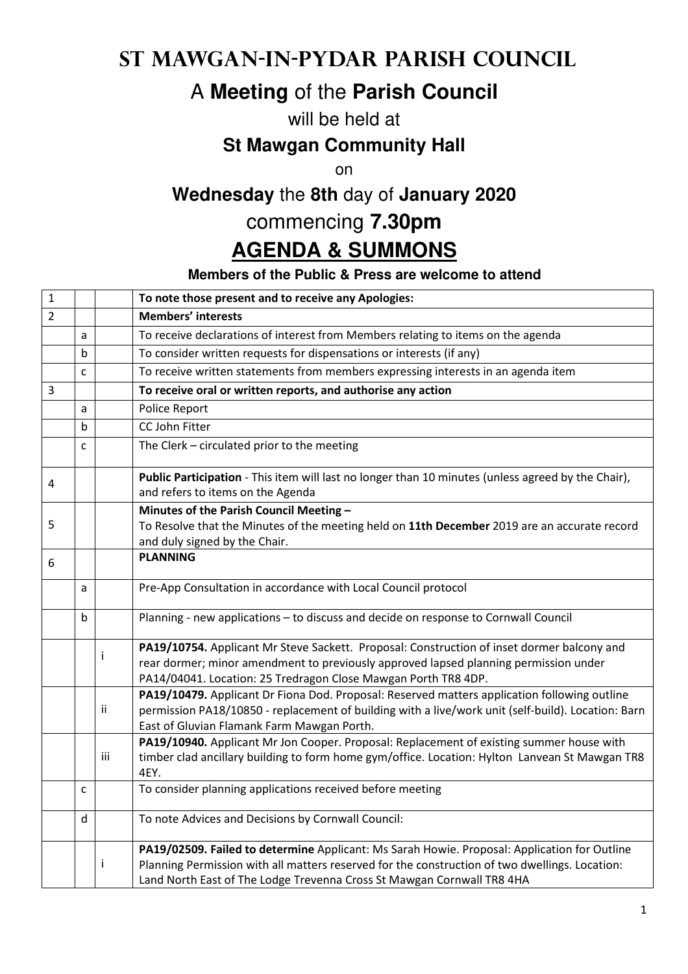## **St Mawgan-in-Pydar Parish Council**

# A **Meeting** of the **Parish Council**

#### will be held at

### **St Mawgan Community Hall**

on

## **Wednesday** the **8th** day of **January 2020**

## commencing **7.30pm**

# **AGENDA & SUMMONS**

#### **Members of the Public & Press are welcome to attend**

| $\mathbf 1$    |   |     | To note those present and to receive any Apologies:                                                                                                                                                                                                                      |
|----------------|---|-----|--------------------------------------------------------------------------------------------------------------------------------------------------------------------------------------------------------------------------------------------------------------------------|
| $\overline{2}$ |   |     | <b>Members' interests</b>                                                                                                                                                                                                                                                |
|                | a |     | To receive declarations of interest from Members relating to items on the agenda                                                                                                                                                                                         |
|                | b |     | To consider written requests for dispensations or interests (if any)                                                                                                                                                                                                     |
|                | C |     | To receive written statements from members expressing interests in an agenda item                                                                                                                                                                                        |
| 3              |   |     | To receive oral or written reports, and authorise any action                                                                                                                                                                                                             |
|                | a |     | Police Report                                                                                                                                                                                                                                                            |
|                | b |     | CC John Fitter                                                                                                                                                                                                                                                           |
|                | C |     | The Clerk - circulated prior to the meeting                                                                                                                                                                                                                              |
| 4              |   |     | Public Participation - This item will last no longer than 10 minutes (unless agreed by the Chair),<br>and refers to items on the Agenda                                                                                                                                  |
|                |   |     | Minutes of the Parish Council Meeting -                                                                                                                                                                                                                                  |
| 5              |   |     | To Resolve that the Minutes of the meeting held on 11th December 2019 are an accurate record                                                                                                                                                                             |
|                |   |     | and duly signed by the Chair.<br><b>PLANNING</b>                                                                                                                                                                                                                         |
| 6              |   |     |                                                                                                                                                                                                                                                                          |
|                | a |     | Pre-App Consultation in accordance with Local Council protocol                                                                                                                                                                                                           |
|                | b |     | Planning - new applications - to discuss and decide on response to Cornwall Council                                                                                                                                                                                      |
|                |   | Ť   | PA19/10754. Applicant Mr Steve Sackett. Proposal: Construction of inset dormer balcony and<br>rear dormer; minor amendment to previously approved lapsed planning permission under<br>PA14/04041. Location: 25 Tredragon Close Mawgan Porth TR8 4DP.                     |
|                |   | Ϊİ  | PA19/10479. Applicant Dr Fiona Dod. Proposal: Reserved matters application following outline<br>permission PA18/10850 - replacement of building with a live/work unit (self-build). Location: Barn<br>East of Gluvian Flamank Farm Mawgan Porth.                         |
|                |   | iii | PA19/10940. Applicant Mr Jon Cooper. Proposal: Replacement of existing summer house with<br>timber clad ancillary building to form home gym/office. Location: Hylton Lanvean St Mawgan TR8<br>4EY.                                                                       |
|                | C |     | To consider planning applications received before meeting                                                                                                                                                                                                                |
|                | d |     | To note Advices and Decisions by Cornwall Council:                                                                                                                                                                                                                       |
|                |   | j   | PA19/02509. Failed to determine Applicant: Ms Sarah Howie. Proposal: Application for Outline<br>Planning Permission with all matters reserved for the construction of two dwellings. Location:<br>Land North East of The Lodge Trevenna Cross St Mawgan Cornwall TR8 4HA |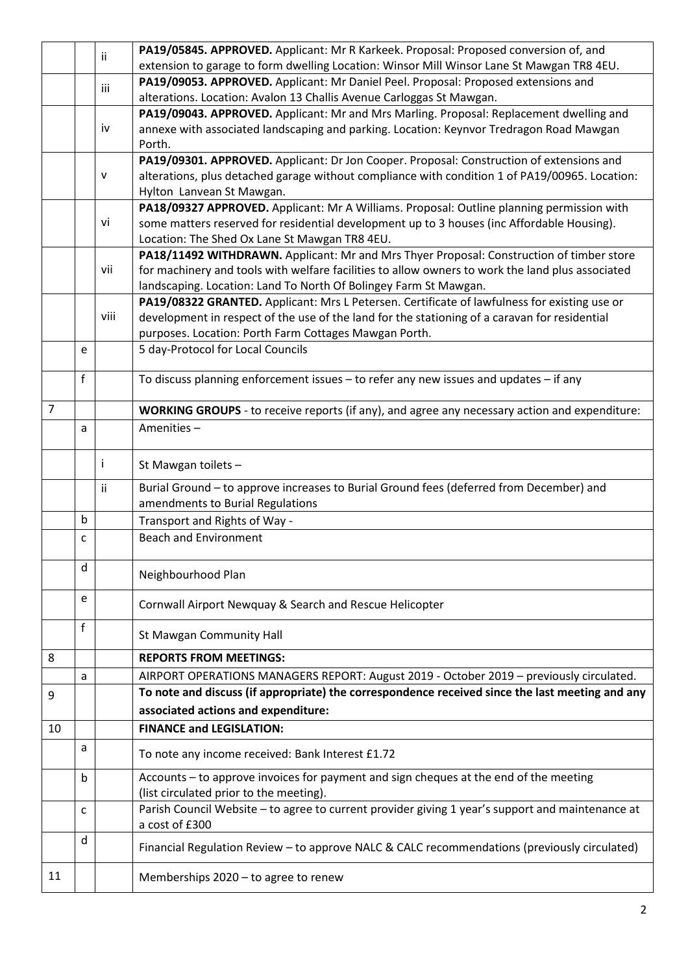|                |              | ii.  | PA19/05845. APPROVED. Applicant: Mr R Karkeek. Proposal: Proposed conversion of, and                                                                                                         |
|----------------|--------------|------|----------------------------------------------------------------------------------------------------------------------------------------------------------------------------------------------|
|                |              |      | extension to garage to form dwelling Location: Winsor Mill Winsor Lane St Mawgan TR8 4EU.                                                                                                    |
|                |              | iii  | PA19/09053. APPROVED. Applicant: Mr Daniel Peel. Proposal: Proposed extensions and                                                                                                           |
|                |              |      | alterations. Location: Avalon 13 Challis Avenue Carloggas St Mawgan.                                                                                                                         |
|                |              |      | PA19/09043. APPROVED. Applicant: Mr and Mrs Marling. Proposal: Replacement dwelling and                                                                                                      |
|                |              | iv   | annexe with associated landscaping and parking. Location: Keynvor Tredragon Road Mawgan                                                                                                      |
|                |              |      | Porth.                                                                                                                                                                                       |
|                |              |      | PA19/09301. APPROVED. Applicant: Dr Jon Cooper. Proposal: Construction of extensions and                                                                                                     |
|                |              | v    | alterations, plus detached garage without compliance with condition 1 of PA19/00965. Location:                                                                                               |
|                |              |      | Hylton Lanvean St Mawgan.                                                                                                                                                                    |
|                |              |      | PA18/09327 APPROVED. Applicant: Mr A Williams. Proposal: Outline planning permission with                                                                                                    |
|                |              | vi   | some matters reserved for residential development up to 3 houses (inc Affordable Housing).                                                                                                   |
|                |              |      | Location: The Shed Ox Lane St Mawgan TR8 4EU.                                                                                                                                                |
|                |              | vii  | PA18/11492 WITHDRAWN. Applicant: Mr and Mrs Thyer Proposal: Construction of timber store<br>for machinery and tools with welfare facilities to allow owners to work the land plus associated |
|                |              |      | landscaping. Location: Land To North Of Bolingey Farm St Mawgan.                                                                                                                             |
|                |              |      | PA19/08322 GRANTED. Applicant: Mrs L Petersen. Certificate of lawfulness for existing use or                                                                                                 |
|                |              | viii | development in respect of the use of the land for the stationing of a caravan for residential                                                                                                |
|                |              |      | purposes. Location: Porth Farm Cottages Mawgan Porth.                                                                                                                                        |
|                | e            |      | 5 day-Protocol for Local Councils                                                                                                                                                            |
|                |              |      |                                                                                                                                                                                              |
|                | $\mathsf{f}$ |      | To discuss planning enforcement issues - to refer any new issues and updates - if any                                                                                                        |
|                |              |      |                                                                                                                                                                                              |
| $\overline{7}$ |              |      | <b>WORKING GROUPS</b> - to receive reports (if any), and agree any necessary action and expenditure:                                                                                         |
|                | a            |      | Amenities-                                                                                                                                                                                   |
|                |              |      |                                                                                                                                                                                              |
|                |              | i    | St Mawgan toilets -                                                                                                                                                                          |
|                |              | ij   | Burial Ground - to approve increases to Burial Ground fees (deferred from December) and                                                                                                      |
|                |              |      | amendments to Burial Regulations                                                                                                                                                             |
|                | b            |      | Transport and Rights of Way -                                                                                                                                                                |
|                | C            |      | <b>Beach and Environment</b>                                                                                                                                                                 |
|                |              |      |                                                                                                                                                                                              |
|                | d            |      |                                                                                                                                                                                              |
|                |              |      | Neighbourhood Plan                                                                                                                                                                           |
|                | e            |      | Cornwall Airport Newquay & Search and Rescue Helicopter                                                                                                                                      |
|                |              |      |                                                                                                                                                                                              |
|                | f            |      | <b>St Mawgan Community Hall</b>                                                                                                                                                              |
| 8              |              |      | <b>REPORTS FROM MEETINGS:</b>                                                                                                                                                                |
|                |              |      |                                                                                                                                                                                              |
|                | a            |      | AIRPORT OPERATIONS MANAGERS REPORT: August 2019 - October 2019 - previously circulated.                                                                                                      |
| 9              |              |      | To note and discuss (if appropriate) the correspondence received since the last meeting and any                                                                                              |
|                |              |      | associated actions and expenditure:                                                                                                                                                          |
| 10             |              |      | <b>FINANCE and LEGISLATION:</b>                                                                                                                                                              |
|                | a            |      | To note any income received: Bank Interest £1.72                                                                                                                                             |
|                | b            |      | Accounts - to approve invoices for payment and sign cheques at the end of the meeting                                                                                                        |
|                |              |      | (list circulated prior to the meeting).                                                                                                                                                      |
|                | C            |      | Parish Council Website - to agree to current provider giving 1 year's support and maintenance at                                                                                             |
|                |              |      | a cost of £300                                                                                                                                                                               |
|                | d            |      | Financial Regulation Review - to approve NALC & CALC recommendations (previously circulated)                                                                                                 |
| 11             |              |      | Memberships 2020 - to agree to renew                                                                                                                                                         |